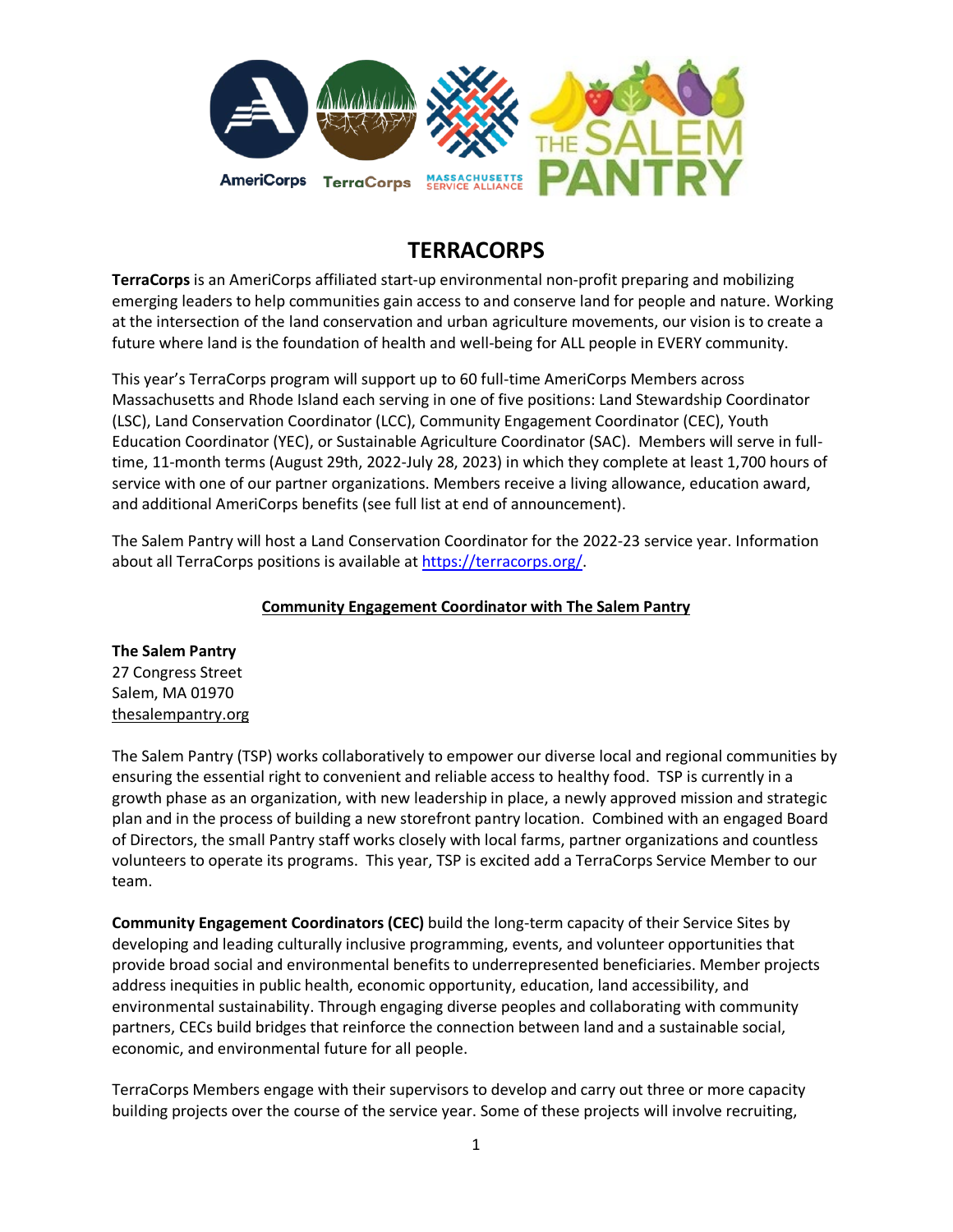

# **TERRACORPS**

**TerraCorps** is an AmeriCorps affiliated start-up environmental non-profit preparing and mobilizing emerging leaders to help communities gain access to and conserve land for people and nature. Working at the intersection of the land conservation and urban agriculture movements, our vision is to create a future where land is the foundation of health and well-being for ALL people in EVERY community.

This year's TerraCorps program will support up to 60 full-time AmeriCorps Members across Massachusetts and Rhode Island each serving in one of five positions: Land Stewardship Coordinator (LSC), Land Conservation Coordinator (LCC), Community Engagement Coordinator (CEC), Youth Education Coordinator (YEC), or Sustainable Agriculture Coordinator (SAC). Members will serve in fulltime, 11-month terms (August 29th, 2022-July 28, 2023) in which they complete at least 1,700 hours of service with one of our partner organizations. Members receive a living allowance, education award, and additional AmeriCorps benefits (see full list at end of announcement).

The Salem Pantry will host a Land Conservation Coordinator for the 2022-23 service year. Information about all TerraCorps positions is available at [https://terracorps.org/.](https://terracorps.org/)

## **Community Engagement Coordinator with The Salem Pantry**

**The Salem Pantry** 27 Congress Street Salem, MA 01970 [thesalempantry.org](http://mountgrace.org/)

The Salem Pantry (TSP) works collaboratively to empower our diverse local and regional communities by ensuring the essential right to convenient and reliable access to healthy food. TSP is currently in a growth phase as an organization, with new leadership in place, a newly approved mission and strategic plan and in the process of building a new storefront pantry location. Combined with an engaged Board of Directors, the small Pantry staff works closely with local farms, partner organizations and countless volunteers to operate its programs. This year, TSP is excited add a TerraCorps Service Member to our team.

**Community Engagement Coordinators (CEC)** build the long-term capacity of their Service Sites by developing and leading culturally inclusive programming, events, and volunteer opportunities that provide broad social and environmental benefits to underrepresented beneficiaries. Member projects address inequities in public health, economic opportunity, education, land accessibility, and environmental sustainability. Through engaging diverse peoples and collaborating with community partners, CECs build bridges that reinforce the connection between land and a sustainable social, economic, and environmental future for all people.

TerraCorps Members engage with their supervisors to develop and carry out three or more capacity building projects over the course of the service year. Some of these projects will involve recruiting,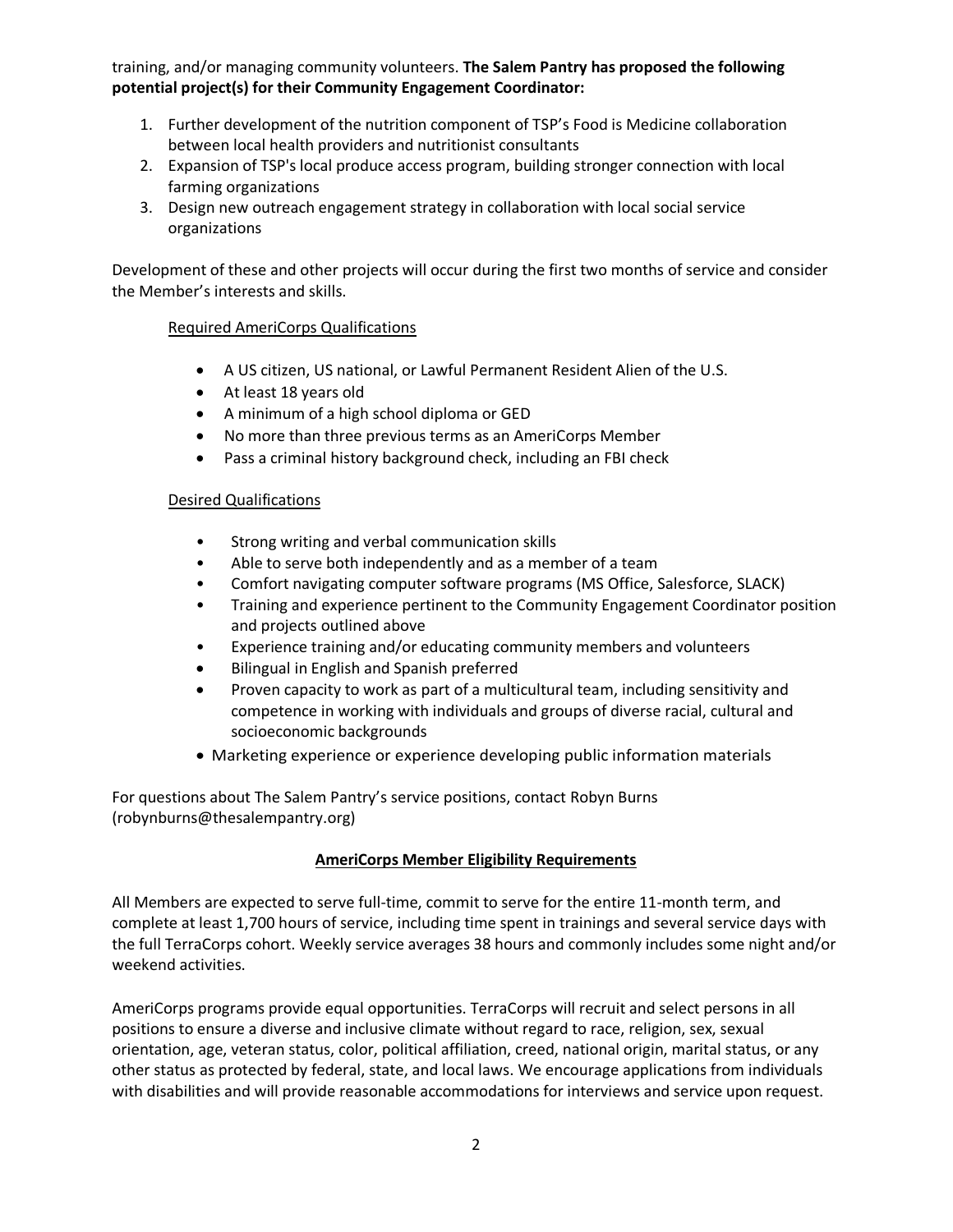training, and/or managing community volunteers. **The Salem Pantry has proposed the following potential project(s) for their Community Engagement Coordinator:**

- 1. Further development of the nutrition component of TSP's Food is Medicine collaboration between local health providers and nutritionist consultants
- 2. Expansion of TSP's local produce access program, building stronger connection with local farming organizations
- 3. Design new outreach engagement strategy in collaboration with local social service organizations

Development of these and other projects will occur during the first two months of service and consider the Member's interests and skills.

### Required AmeriCorps Qualifications

- A US citizen, US national, or Lawful Permanent Resident Alien of the U.S.
- At least 18 years old
- A minimum of a high school diploma or GED
- No more than three previous terms as an AmeriCorps Member
- Pass a criminal history background check, including an FBI check

#### Desired Qualifications

- Strong writing and verbal communication skills
- Able to serve both independently and as a member of a team
- Comfort navigating computer software programs (MS Office, Salesforce, SLACK)
- Training and experience pertinent to the Community Engagement Coordinator position and projects outlined above
- Experience training and/or educating community members and volunteers
- Bilingual in English and Spanish preferred
- Proven capacity to work as part of a multicultural team, including sensitivity and competence in working with individuals and groups of diverse racial, cultural and socioeconomic backgrounds
- Marketing experience or experience developing public information materials

For questions about The Salem Pantry's service positions, contact Robyn Burns (robynburns@thesalempantry.org)

#### **AmeriCorps Member Eligibility Requirements**

All Members are expected to serve full-time, commit to serve for the entire 11-month term, and complete at least 1,700 hours of service, including time spent in trainings and several service days with the full TerraCorps cohort. Weekly service averages 38 hours and commonly includes some night and/or weekend activities.

AmeriCorps programs provide equal opportunities. TerraCorps will recruit and select persons in all positions to ensure a diverse and inclusive climate without regard to race, religion, sex, sexual orientation, age, veteran status, color, political affiliation, creed, national origin, marital status, or any other status as protected by federal, state, and local laws. We encourage applications from individuals with disabilities and will provide reasonable accommodations for interviews and service upon request.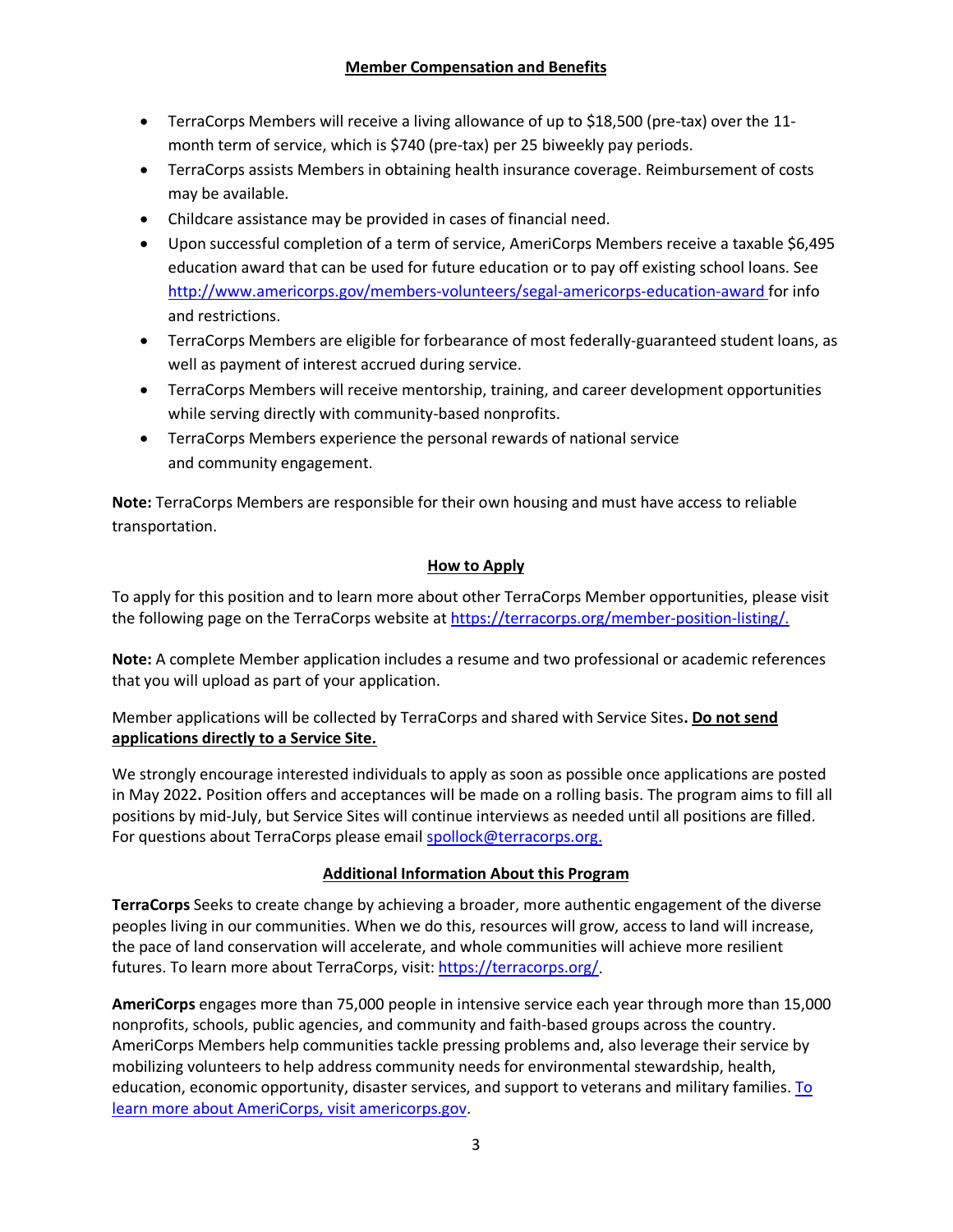- TerraCorps Members will receive a living allowance of up to \$18,500 (pre-tax) over the 11month term of service, which is \$740 (pre-tax) per 25 biweekly pay periods.
- TerraCorps assists Members in obtaining health insurance coverage. Reimbursement of costs may be available.
- Childcare assistance may be provided in cases of financial need.
- Upon successful completion of a term of service, AmeriCorps Members receive a taxable \$6,495 education award that can be used for future education or to pay off existing school loans. See <http://www.americorps.gov/members-volunteers/segal-americorps-education-award> for info and restrictions.
- TerraCorps Members are eligible for forbearance of most federally-guaranteed student loans, as well as payment of interest accrued during service.
- TerraCorps Members will receive mentorship, training, and career development opportunities while serving directly with community-based nonprofits.
- TerraCorps Members experience the personal rewards of national service and community engagement.

**Note:** TerraCorps Members are responsible for their own housing and must have access to reliable transportation.

# **How to Apply**

To apply for this position and to learn more about other TerraCorps Member opportunities, please visit the following page on the TerraCorps website at [https://terracorps.org/member-position-listing/.](https://terracorps.org/member-position-listing/)

**Note:** A complete Member application includes a resume and two professional or academic references that you will upload as part of your application.

Member applications will be collected by TerraCorps and shared with Service Sites**. Do not send applications directly to a Service Site.**

We strongly encourage interested individuals to apply as soon as possible once applications are posted in May 2022**.** Position offers and acceptances will be made on a rolling basis. The program aims to fill all positions by mid-July, but Service Sites will continue interviews as needed until all positions are filled. For questions about TerraCorps please email [spollock@terracorps.org.](mailto:spollock@terracorps.org)

## **Additional Information About this Program**

**TerraCorps** Seeks to create change by achieving a broader, more authentic engagement of the diverse peoples living in our communities. When we do this, resources will grow, access to land will increase, the pace of land conservation will accelerate, and whole communities will achieve more resilient futures. To learn more about TerraCorps, visit[: https://terracorps.org/.](https://terracorps.org/)

**AmeriCorps** engages more than 75,000 people in intensive service each year through more than 15,000 nonprofits, schools, public agencies, and community and faith-based groups across the country. AmeriCorps Members help communities tackle pressing problems and, also leverage their service by mobilizing volunteers to help address community needs for environmental stewardship, health, education, economic opportunity, disaster services, and support to veterans and military families. To learn more about AmeriCorps, visit [americorps.gov.](http://www.americorps.gov/)